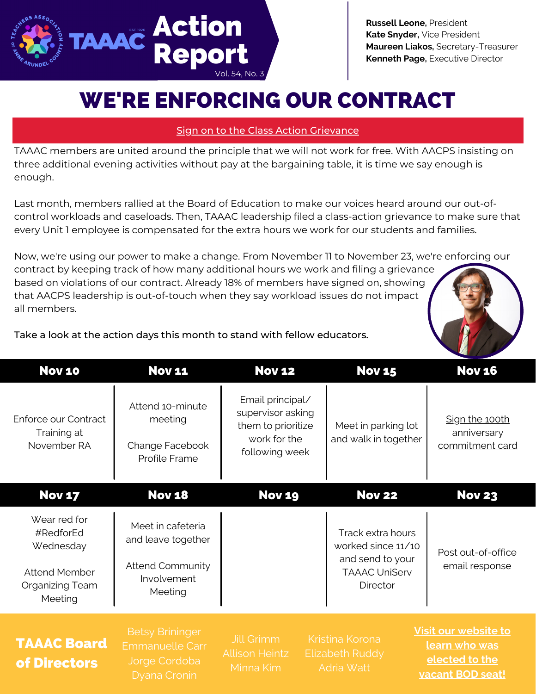

**Russell Leone,** President **Kate Snyder,** Vice President **Maureen Liakos,** Secretary-Treasurer **Kenneth Page,** Executive Director

# WE'RE ENFORCING OUR CONTRACT

#### **Sign on to the Class Action [Grievance](https://forms.office.com/Pages/ResponsePage.aspx?id=USB5L_uc00aB4KpEYOIxkIUXwQaRa_pPoKhHquPJFU5UM0w4NVlTQkEyQ0xZUDUwWjJPRFFVSFFPSC4u)**

TAAAC members are united around the principle that we will not work for free. With AACPS insisting on three additional evening activities without pay at the bargaining table, it is time we say enough is enough.

Last month, members rallied at the Board of Education to make our voices heard around our out-ofcontrol workloads and caseloads. Then, TAAAC leadership filed a class-action grievance to make sure that every Unit 1 employee is compensated for the extra hours we work for our students and families.

Now, we're using our power to make a change. From November 11 to November 23, we're enforcing our

contract by keeping track of how many additional hours we work and filing a grievance based on violations of our contract. Already 18% of members have signed on, showing that AACPS leadership is out-of-touch when they say workload issues do not impact all members.



Take a look at the action days this month to stand with fellow educators.

| <b>Nov 10</b>                                      | <b>Nov 11</b>                                                                     | <b>Nov 12</b>                                                                                 | <b>Nov 15</b>                                                  | <b>Nov 16</b>                                                                             |
|----------------------------------------------------|-----------------------------------------------------------------------------------|-----------------------------------------------------------------------------------------------|----------------------------------------------------------------|-------------------------------------------------------------------------------------------|
| Enforce our Contract<br>Training at<br>November RA | Attend 10-minute<br>meeting<br>Change Facebook<br>Profile Frame                   | Email principal/<br>supervisor asking<br>them to prioritize<br>work for the<br>following week | Meet in parking lot<br>and walk in together                    | Sign the 100th<br>anniversary<br>commitment card                                          |
| <b>Nov 17</b>                                      | <b>Nov 18</b>                                                                     | <b>Nov 19</b>                                                                                 | <b>Nov 22</b>                                                  | <b>Nov 23</b>                                                                             |
| Wear red for<br>#RedforEd<br>Wednesday             | Meet in cafeteria<br>and leave together                                           |                                                                                               | Track extra hours<br>worked since 11/10<br>and send to your    | Post out-of-office                                                                        |
| <b>Attend Member</b><br>Organizing Team<br>Meeting | <b>Attend Community</b><br>Involvement<br>Meeting                                 |                                                                                               | <b>TAAAC UniServ</b><br>Director                               | email response                                                                            |
| <b>TAAAC Board</b><br>of Directors                 | <b>Betsy Brininger</b><br><b>Emmanuelle Carr</b><br>Jorge Cordoba<br>Dyana Cronin | Jill Grimm<br><b>Allison Heintz</b><br>Minna Kim                                              | Kristina Korona<br><b>Elizabeth Ruddy</b><br><b>Adria Watt</b> | Visit our website to<br><b>Learn who was</b><br>elected to the<br><b>vacant BOD seat!</b> |